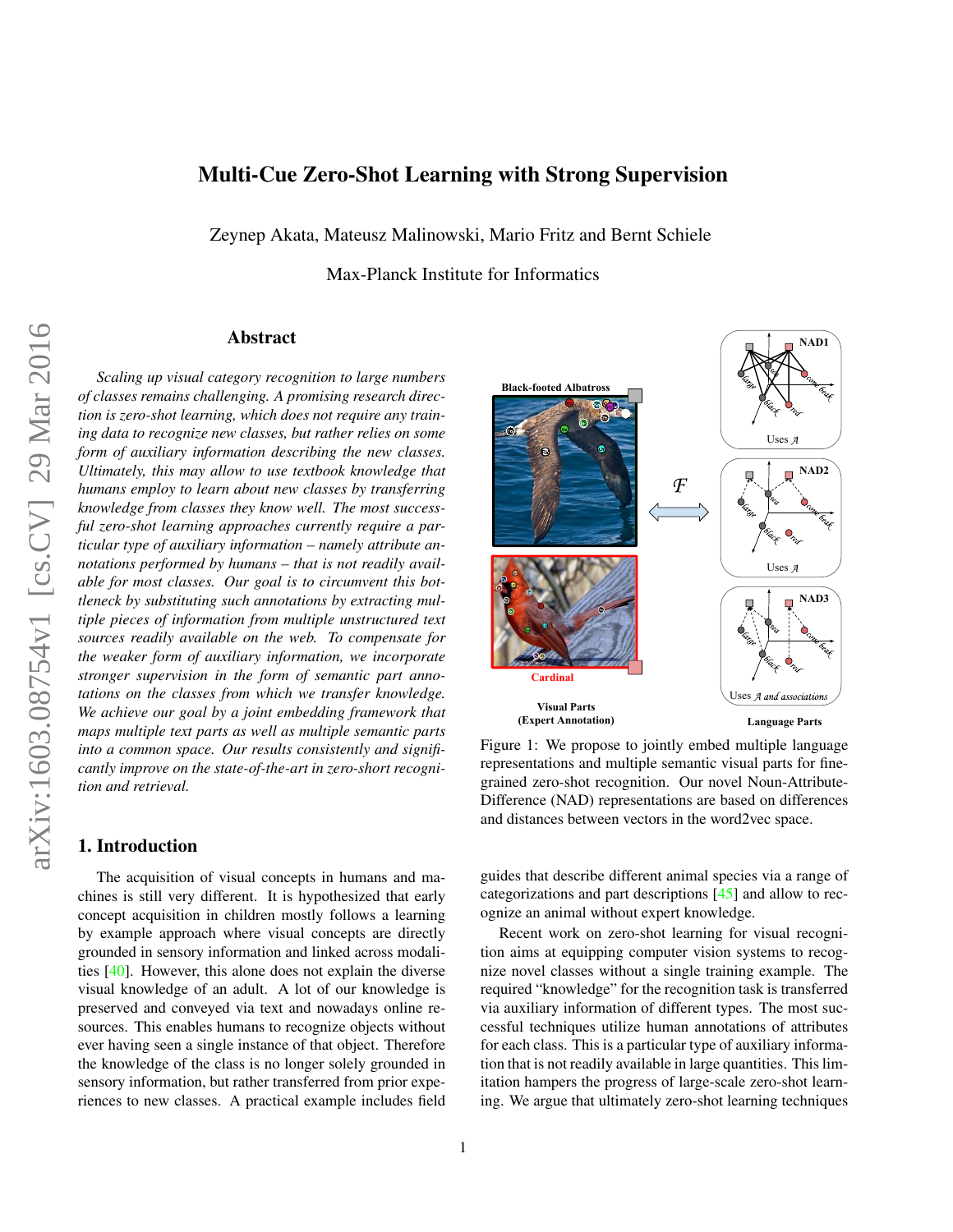# <span id="page-0-1"></span>Multi-Cue Zero-Shot Learning with Strong Supervision

Zeynep Akata, Mateusz Malinowski, Mario Fritz and Bernt Schiele

Max-Planck Institute for Informatics

## Abstract

*Scaling up visual category recognition to large numbers of classes remains challenging. A promising research direction is zero-shot learning, which does not require any training data to recognize new classes, but rather relies on some form of auxiliary information describing the new classes. Ultimately, this may allow to use textbook knowledge that humans employ to learn about new classes by transferring knowledge from classes they know well. The most successful zero-shot learning approaches currently require a particular type of auxiliary information – namely attribute annotations performed by humans – that is not readily available for most classes. Our goal is to circumvent this bottleneck by substituting such annotations by extracting multiple pieces of information from multiple unstructured text sources readily available on the web. To compensate for the weaker form of auxiliary information, we incorporate stronger supervision in the form of semantic part annotations on the classes from which we transfer knowledge. We achieve our goal by a joint embedding framework that maps multiple text parts as well as multiple semantic parts into a common space. Our results consistently and significantly improve on the state-of-the-art in zero-short recognition and retrieval.*

## 1. Introduction

The acquisition of visual concepts in humans and machines is still very different. It is hypothesized that early concept acquisition in children mostly follows a learning by example approach where visual concepts are directly grounded in sensory information and linked across modalities [\[40\]](#page-8-0). However, this alone does not explain the diverse visual knowledge of an adult. A lot of our knowledge is preserved and conveyed via text and nowadays online resources. This enables humans to recognize objects without ever having seen a single instance of that object. Therefore the knowledge of the class is no longer solely grounded in sensory information, but rather transferred from prior experiences to new classes. A practical example includes field

<span id="page-0-0"></span>

Figure 1: We propose to jointly embed multiple language representations and multiple semantic visual parts for finegrained zero-shot recognition. Our novel Noun-Attribute-Difference (NAD) representations are based on differences and distances between vectors in the word2vec space.

guides that describe different animal species via a range of categorizations and part descriptions [\[45\]](#page-9-0) and allow to recognize an animal without expert knowledge.

Recent work on zero-shot learning for visual recognition aims at equipping computer vision systems to recognize novel classes without a single training example. The required "knowledge" for the recognition task is transferred via auxiliary information of different types. The most successful techniques utilize human annotations of attributes for each class. This is a particular type of auxiliary information that is not readily available in large quantities. This limitation hampers the progress of large-scale zero-shot learning. We argue that ultimately zero-shot learning techniques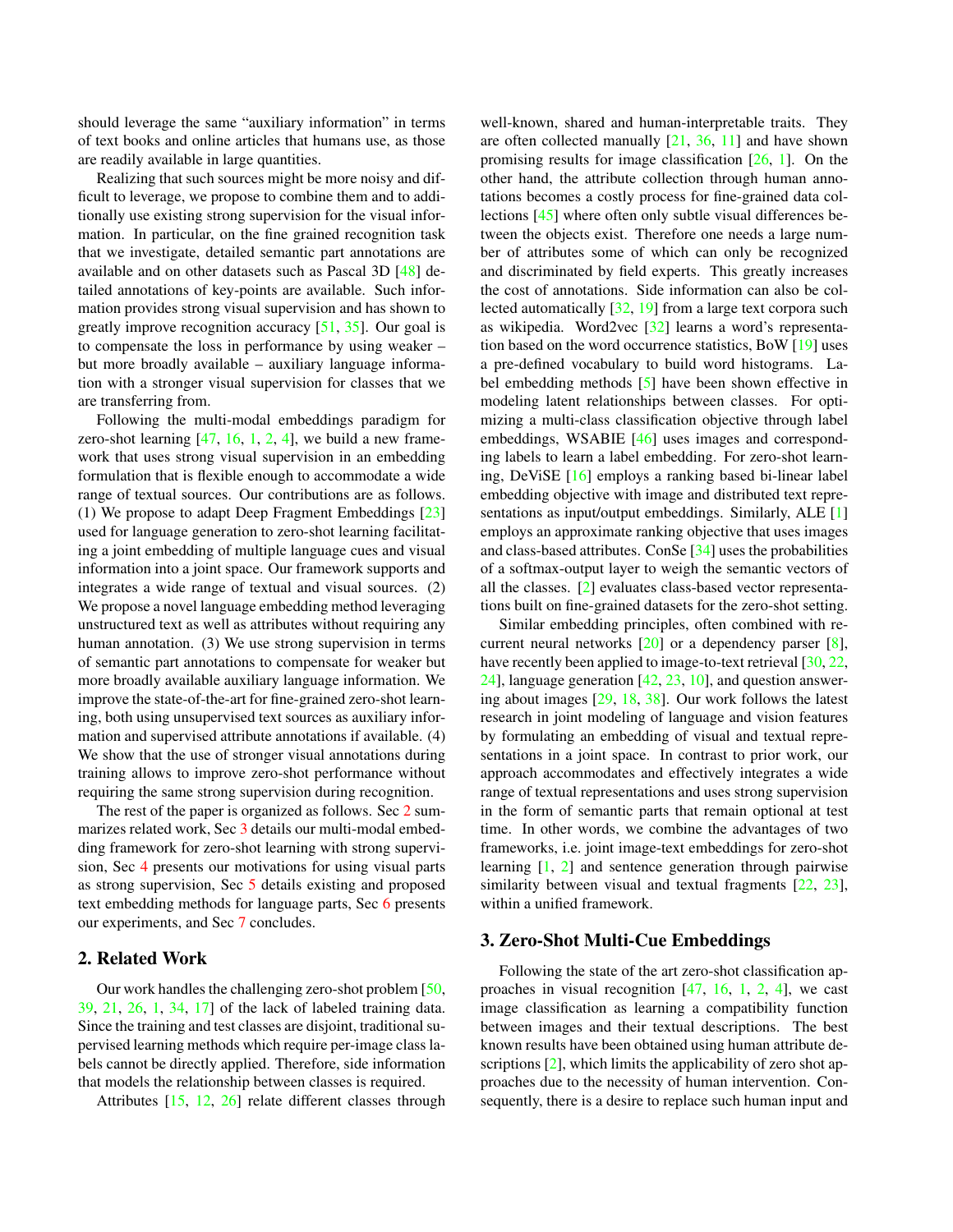<span id="page-1-2"></span>should leverage the same "auxiliary information" in terms of text books and online articles that humans use, as those are readily available in large quantities.

Realizing that such sources might be more noisy and difficult to leverage, we propose to combine them and to additionally use existing strong supervision for the visual information. In particular, on the fine grained recognition task that we investigate, detailed semantic part annotations are available and on other datasets such as Pascal 3D [\[48\]](#page-9-1) detailed annotations of key-points are available. Such information provides strong visual supervision and has shown to greatly improve recognition accuracy  $[51, 35]$  $[51, 35]$  $[51, 35]$ . Our goal is to compensate the loss in performance by using weaker – but more broadly available – auxiliary language information with a stronger visual supervision for classes that we are transferring from.

Following the multi-modal embeddings paradigm for zero-shot learning  $[47, 16, 1, 2, 4]$  $[47, 16, 1, 2, 4]$  $[47, 16, 1, 2, 4]$  $[47, 16, 1, 2, 4]$  $[47, 16, 1, 2, 4]$  $[47, 16, 1, 2, 4]$  $[47, 16, 1, 2, 4]$  $[47, 16, 1, 2, 4]$  $[47, 16, 1, 2, 4]$ , we build a new framework that uses strong visual supervision in an embedding formulation that is flexible enough to accommodate a wide range of textual sources. Our contributions are as follows. (1) We propose to adapt Deep Fragment Embeddings [\[23\]](#page-8-6) used for language generation to zero-shot learning facilitating a joint embedding of multiple language cues and visual information into a joint space. Our framework supports and integrates a wide range of textual and visual sources. (2) We propose a novel language embedding method leveraging unstructured text as well as attributes without requiring any human annotation. (3) We use strong supervision in terms of semantic part annotations to compensate for weaker but more broadly available auxiliary language information. We improve the state-of-the-art for fine-grained zero-shot learning, both using unsupervised text sources as auxiliary information and supervised attribute annotations if available. (4) We show that the use of stronger visual annotations during training allows to improve zero-shot performance without requiring the same strong supervision during recognition.

The rest of the paper is organized as follows. Sec [2](#page-1-0) summarizes related work, Sec [3](#page-1-1) details our multi-modal embedding framework for zero-shot learning with strong supervision, Sec [4](#page-2-0) presents our motivations for using visual parts as strong supervision, Sec [5](#page-3-0) details existing and proposed text embedding methods for language parts, Sec [6](#page-4-0) presents our experiments, and Sec [7](#page-7-0) concludes.

## <span id="page-1-0"></span>2. Related Work

Our work handles the challenging zero-shot problem [\[50,](#page-9-4) [39,](#page-8-7) [21,](#page-8-8) [26,](#page-8-9) [1,](#page-8-3) [34,](#page-8-10) [17\]](#page-8-11) of the lack of labeled training data. Since the training and test classes are disjoint, traditional supervised learning methods which require per-image class labels cannot be directly applied. Therefore, side information that models the relationship between classes is required.

Attributes [\[15,](#page-8-12) [12,](#page-8-13) [26\]](#page-8-9) relate different classes through

well-known, shared and human-interpretable traits. They are often collected manually [\[21,](#page-8-8) [36,](#page-8-14) [11\]](#page-8-15) and have shown promising results for image classification [\[26,](#page-8-9) [1\]](#page-8-3). On the other hand, the attribute collection through human annotations becomes a costly process for fine-grained data collections [\[45\]](#page-9-0) where often only subtle visual differences between the objects exist. Therefore one needs a large number of attributes some of which can only be recognized and discriminated by field experts. This greatly increases the cost of annotations. Side information can also be collected automatically [\[32,](#page-8-16) [19\]](#page-8-17) from a large text corpora such as wikipedia. Word2vec [\[32\]](#page-8-16) learns a word's representation based on the word occurrence statistics, BoW [\[19\]](#page-8-17) uses a pre-defined vocabulary to build word histograms. Label embedding methods [\[5\]](#page-8-18) have been shown effective in modeling latent relationships between classes. For optimizing a multi-class classification objective through label embeddings, WSABIE [\[46\]](#page-9-5) uses images and corresponding labels to learn a label embedding. For zero-shot learning, DeViSE [\[16\]](#page-8-2) employs a ranking based bi-linear label embedding objective with image and distributed text repre-sentations as input/output embeddings. Similarly, ALE [\[1\]](#page-8-3) employs an approximate ranking objective that uses images and class-based attributes. ConSe [\[34\]](#page-8-10) uses the probabilities of a softmax-output layer to weigh the semantic vectors of all the classes. [\[2\]](#page-8-4) evaluates class-based vector representations built on fine-grained datasets for the zero-shot setting.

Similar embedding principles, often combined with recurrent neural networks  $[20]$  or a dependency parser  $[8]$ , have recently been applied to image-to-text retrieval [\[30,](#page-8-21) [22,](#page-8-22) [24\]](#page-8-23), language generation [\[42,](#page-9-6) [23,](#page-8-6) [10\]](#page-8-24), and question answering about images [\[29,](#page-8-25) [18,](#page-8-26) [38\]](#page-8-27). Our work follows the latest research in joint modeling of language and vision features by formulating an embedding of visual and textual representations in a joint space. In contrast to prior work, our approach accommodates and effectively integrates a wide range of textual representations and uses strong supervision in the form of semantic parts that remain optional at test time. In other words, we combine the advantages of two frameworks, i.e. joint image-text embeddings for zero-shot learning [\[1,](#page-8-3) [2\]](#page-8-4) and sentence generation through pairwise similarity between visual and textual fragments [\[22,](#page-8-22) [23\]](#page-8-6), within a unified framework.

## <span id="page-1-1"></span>3. Zero-Shot Multi-Cue Embeddings

Following the state of the art zero-shot classification approaches in visual recognition [\[47,](#page-9-3) [16,](#page-8-2) [1,](#page-8-3) [2,](#page-8-4) [4\]](#page-8-5), we cast image classification as learning a compatibility function between images and their textual descriptions. The best known results have been obtained using human attribute de-scriptions [\[2\]](#page-8-4), which limits the applicability of zero shot approaches due to the necessity of human intervention. Consequently, there is a desire to replace such human input and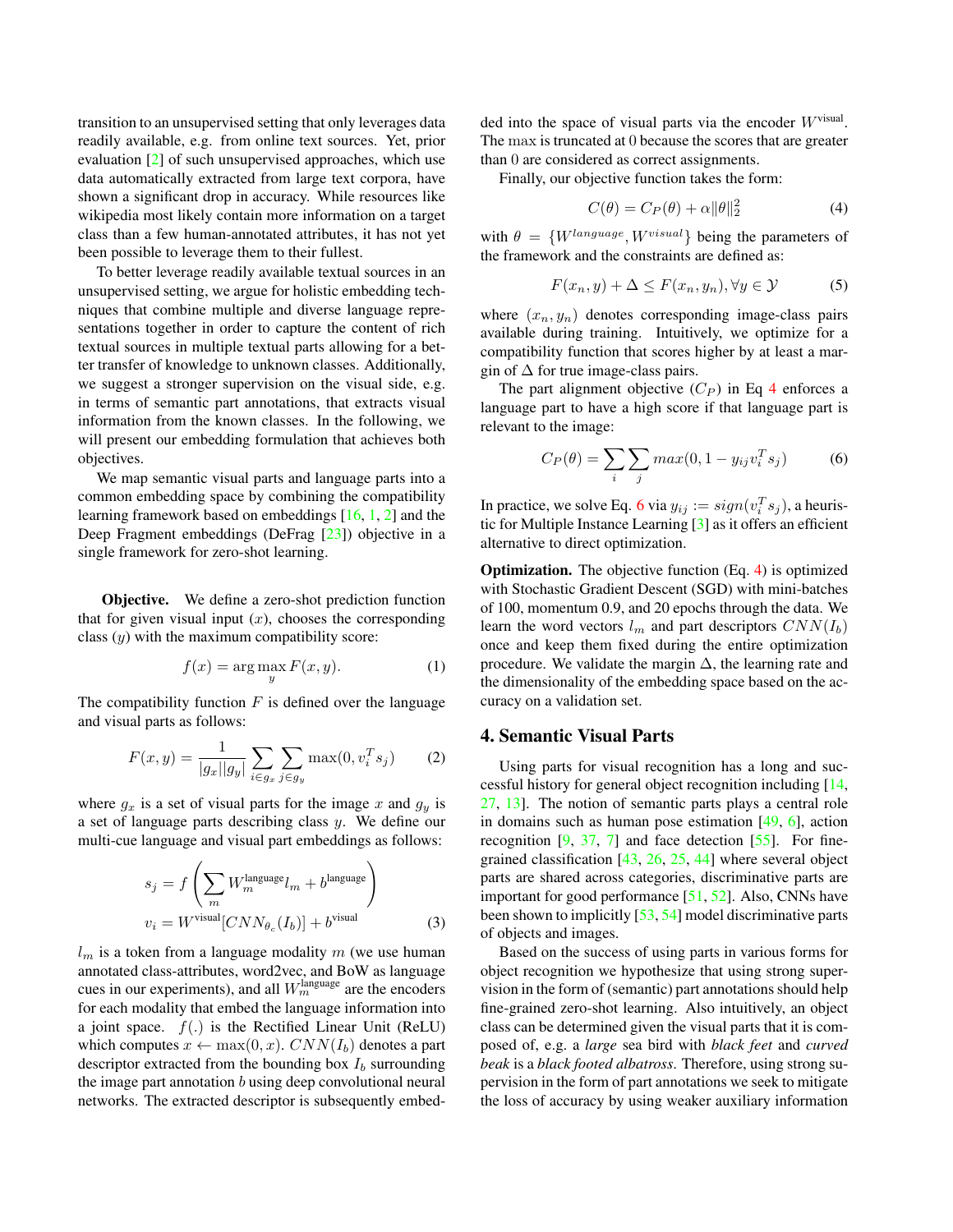<span id="page-2-3"></span>transition to an unsupervised setting that only leverages data readily available, e.g. from online text sources. Yet, prior evaluation [\[2\]](#page-8-4) of such unsupervised approaches, which use data automatically extracted from large text corpora, have shown a significant drop in accuracy. While resources like wikipedia most likely contain more information on a target class than a few human-annotated attributes, it has not yet been possible to leverage them to their fullest.

To better leverage readily available textual sources in an unsupervised setting, we argue for holistic embedding techniques that combine multiple and diverse language representations together in order to capture the content of rich textual sources in multiple textual parts allowing for a better transfer of knowledge to unknown classes. Additionally, we suggest a stronger supervision on the visual side, e.g. in terms of semantic part annotations, that extracts visual information from the known classes. In the following, we will present our embedding formulation that achieves both objectives.

We map semantic visual parts and language parts into a common embedding space by combining the compatibility learning framework based on embeddings [\[16,](#page-8-2) [1,](#page-8-3) [2\]](#page-8-4) and the Deep Fragment embeddings (DeFrag [\[23\]](#page-8-6)) objective in a single framework for zero-shot learning.

Objective. We define a zero-shot prediction function that for given visual input  $(x)$ , chooses the corresponding class  $(y)$  with the maximum compatibility score:

$$
f(x) = \arg\max_{y} F(x, y). \tag{1}
$$

The compatibility function  $F$  is defined over the language and visual parts as follows:

$$
F(x,y) = \frac{1}{|g_x||g_y|} \sum_{i \in g_x} \sum_{j \in g_y} \max(0, v_i^T s_j)
$$
 (2)

where  $g_x$  is a set of visual parts for the image x and  $g_y$  is a set of language parts describing class y. We define our multi-cue language and visual part embeddings as follows:

$$
s_j = f\left(\sum_m W_m^{\text{language}} l_m + b^{\text{language}}\right)
$$
  

$$
v_i = W^{\text{visual}}[CNN_{\theta_c}(I_b)] + b^{\text{visual}}
$$
 (3)

 $l_m$  is a token from a language modality m (we use human annotated class-attributes, word2vec, and BoW as language cues in our experiments), and all  $W_m^{\text{language}}$  are the encoders for each modality that embed the language information into a joint space.  $f(.)$  is the Rectified Linear Unit (ReLU) which computes  $x \leftarrow \max(0, x)$ .  $CNN(I_b)$  denotes a part descriptor extracted from the bounding box  $I<sub>b</sub>$  surrounding the image part annotation  $b$  using deep convolutional neural networks. The extracted descriptor is subsequently embed-

ded into the space of visual parts via the encoder  $W^{\text{visual}}$ . The max is truncated at 0 because the scores that are greater than 0 are considered as correct assignments.

Finally, our objective function takes the form:

<span id="page-2-1"></span>
$$
C(\theta) = C_P(\theta) + \alpha ||\theta||_2^2 \tag{4}
$$

with  $\theta = \{W^{language}, W^{visual}\}\$ being the parameters of the framework and the constraints are defined as:

$$
F(x_n, y) + \Delta \le F(x_n, y_n), \forall y \in \mathcal{Y}
$$
 (5)

where  $(x_n, y_n)$  denotes corresponding image-class pairs available during training. Intuitively, we optimize for a compatibility function that scores higher by at least a margin of  $\Delta$  for true image-class pairs.

The part alignment objective  $(C_P)$  in Eq [4](#page-2-1) enforces a language part to have a high score if that language part is relevant to the image:

<span id="page-2-2"></span>
$$
C_P(\theta) = \sum_i \sum_j max(0, 1 - y_{ij} v_i^T s_j)
$$
 (6)

In practice, we solve Eq. [6](#page-2-2) via  $y_{ij} := sign(v_i^T s_j)$ , a heuristic for Multiple Instance Learning [\[3\]](#page-8-28) as it offers an efficient alternative to direct optimization.

**Optimization.** The objective function (Eq. [4\)](#page-2-1) is optimized with Stochastic Gradient Descent (SGD) with mini-batches of 100, momentum 0.9, and 20 epochs through the data. We learn the word vectors  $l_m$  and part descriptors  $CNN(I_b)$ once and keep them fixed during the entire optimization procedure. We validate the margin  $\Delta$ , the learning rate and the dimensionality of the embedding space based on the accuracy on a validation set.

## <span id="page-2-0"></span>4. Semantic Visual Parts

Using parts for visual recognition has a long and successful history for general object recognition including [\[14,](#page-8-29) [27,](#page-8-30) [13\]](#page-8-31). The notion of semantic parts plays a central role in domains such as human pose estimation  $[49, 6]$  $[49, 6]$  $[49, 6]$ , action recognition  $[9, 37, 7]$  $[9, 37, 7]$  $[9, 37, 7]$  $[9, 37, 7]$  $[9, 37, 7]$  and face detection  $[55]$ . For finegrained classification [\[43,](#page-9-9) [26,](#page-8-9) [25,](#page-8-36) [44\]](#page-9-10) where several object parts are shared across categories, discriminative parts are important for good performance [\[51,](#page-9-2) [52\]](#page-9-11). Also, CNNs have been shown to implicitly [\[53,](#page-9-12) [54\]](#page-9-13) model discriminative parts of objects and images.

Based on the success of using parts in various forms for object recognition we hypothesize that using strong supervision in the form of (semantic) part annotations should help fine-grained zero-shot learning. Also intuitively, an object class can be determined given the visual parts that it is composed of, e.g. a *large* sea bird with *black feet* and *curved beak* is a *black footed albatross*. Therefore, using strong supervision in the form of part annotations we seek to mitigate the loss of accuracy by using weaker auxiliary information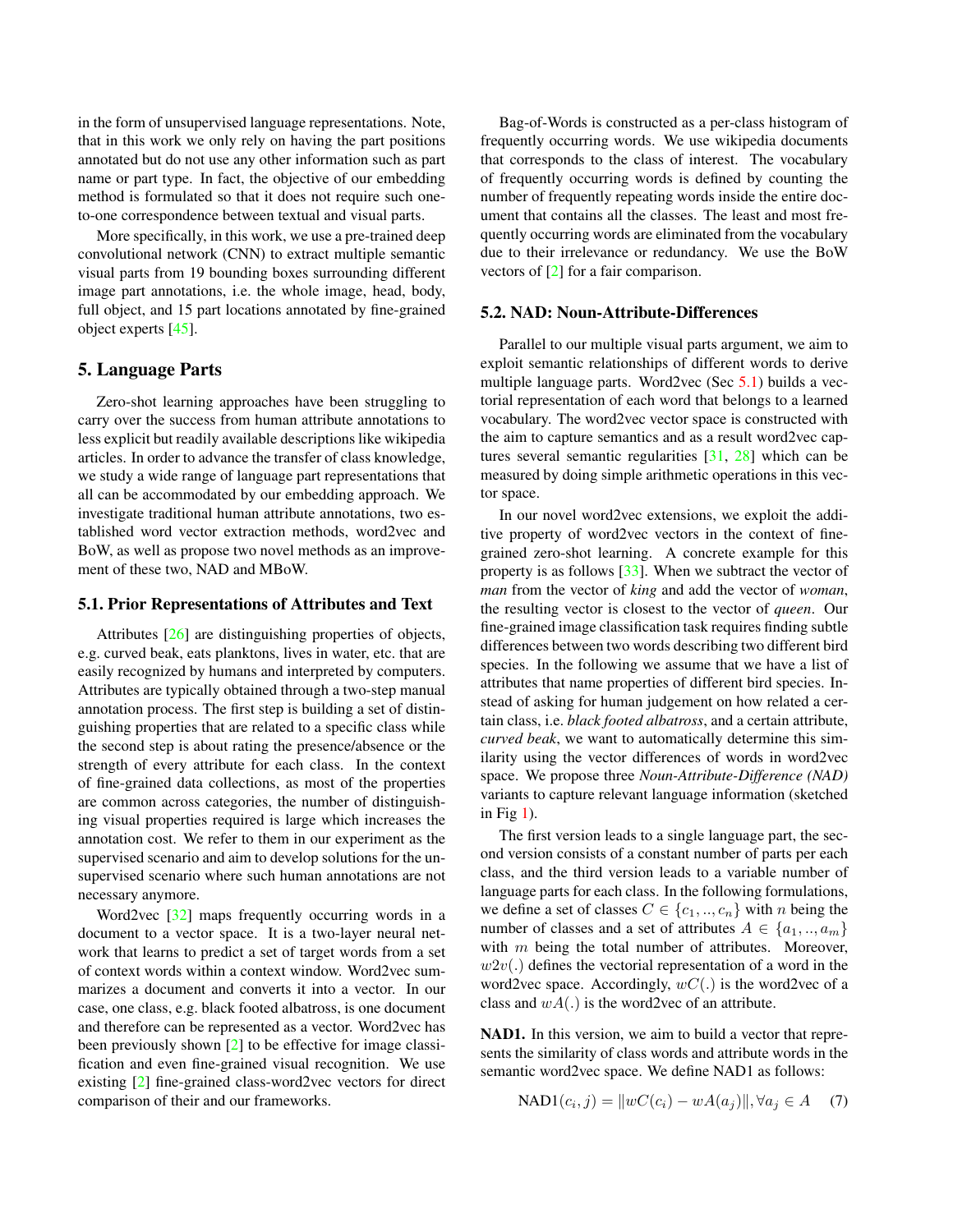<span id="page-3-2"></span>in the form of unsupervised language representations. Note, that in this work we only rely on having the part positions annotated but do not use any other information such as part name or part type. In fact, the objective of our embedding method is formulated so that it does not require such oneto-one correspondence between textual and visual parts.

More specifically, in this work, we use a pre-trained deep convolutional network (CNN) to extract multiple semantic visual parts from 19 bounding boxes surrounding different image part annotations, i.e. the whole image, head, body, full object, and 15 part locations annotated by fine-grained object experts [\[45\]](#page-9-0).

## <span id="page-3-0"></span>5. Language Parts

Zero-shot learning approaches have been struggling to carry over the success from human attribute annotations to less explicit but readily available descriptions like wikipedia articles. In order to advance the transfer of class knowledge, we study a wide range of language part representations that all can be accommodated by our embedding approach. We investigate traditional human attribute annotations, two established word vector extraction methods, word2vec and BoW, as well as propose two novel methods as an improvement of these two, NAD and MBoW.

#### <span id="page-3-1"></span>5.1. Prior Representations of Attributes and Text

Attributes [\[26\]](#page-8-9) are distinguishing properties of objects, e.g. curved beak, eats planktons, lives in water, etc. that are easily recognized by humans and interpreted by computers. Attributes are typically obtained through a two-step manual annotation process. The first step is building a set of distinguishing properties that are related to a specific class while the second step is about rating the presence/absence or the strength of every attribute for each class. In the context of fine-grained data collections, as most of the properties are common across categories, the number of distinguishing visual properties required is large which increases the annotation cost. We refer to them in our experiment as the supervised scenario and aim to develop solutions for the unsupervised scenario where such human annotations are not necessary anymore.

Word2vec [\[32\]](#page-8-16) maps frequently occurring words in a document to a vector space. It is a two-layer neural network that learns to predict a set of target words from a set of context words within a context window. Word2vec summarizes a document and converts it into a vector. In our case, one class, e.g. black footed albatross, is one document and therefore can be represented as a vector. Word2vec has been previously shown [\[2\]](#page-8-4) to be effective for image classification and even fine-grained visual recognition. We use existing [\[2\]](#page-8-4) fine-grained class-word2vec vectors for direct comparison of their and our frameworks.

Bag-of-Words is constructed as a per-class histogram of frequently occurring words. We use wikipedia documents that corresponds to the class of interest. The vocabulary of frequently occurring words is defined by counting the number of frequently repeating words inside the entire document that contains all the classes. The least and most frequently occurring words are eliminated from the vocabulary due to their irrelevance or redundancy. We use the BoW vectors of [\[2\]](#page-8-4) for a fair comparison.

#### 5.2. NAD: Noun-Attribute-Differences

Parallel to our multiple visual parts argument, we aim to exploit semantic relationships of different words to derive multiple language parts. Word2vec (Sec [5.1\)](#page-3-1) builds a vectorial representation of each word that belongs to a learned vocabulary. The word2vec vector space is constructed with the aim to capture semantics and as a result word2vec captures several semantic regularities [\[31,](#page-8-37) [28\]](#page-8-38) which can be measured by doing simple arithmetic operations in this vector space.

In our novel word2vec extensions, we exploit the additive property of word2vec vectors in the context of finegrained zero-shot learning. A concrete example for this property is as follows  $[33]$ . When we subtract the vector of *man* from the vector of *king* and add the vector of *woman*, the resulting vector is closest to the vector of *queen*. Our fine-grained image classification task requires finding subtle differences between two words describing two different bird species. In the following we assume that we have a list of attributes that name properties of different bird species. Instead of asking for human judgement on how related a certain class, i.e. *black footed albatross*, and a certain attribute, *curved beak*, we want to automatically determine this similarity using the vector differences of words in word2vec space. We propose three *Noun-Attribute-Difference (NAD)* variants to capture relevant language information (sketched in Fig  $1$ ).

The first version leads to a single language part, the second version consists of a constant number of parts per each class, and the third version leads to a variable number of language parts for each class. In the following formulations, we define a set of classes  $C \in \{c_1, ..., c_n\}$  with n being the number of classes and a set of attributes  $A \in \{a_1, ..., a_m\}$ with  $m$  being the total number of attributes. Moreover,  $w2v(.)$  defines the vectorial representation of a word in the word2vec space. Accordingly,  $wC(.)$  is the word2vec of a class and  $wA(.)$  is the word2vec of an attribute.

NAD1. In this version, we aim to build a vector that represents the similarity of class words and attribute words in the semantic word2vec space. We define NAD1 as follows:

$$
\text{NAD1}(c_i, j) = \|wC(c_i) - wA(a_j)\|, \forall a_j \in A \quad (7)
$$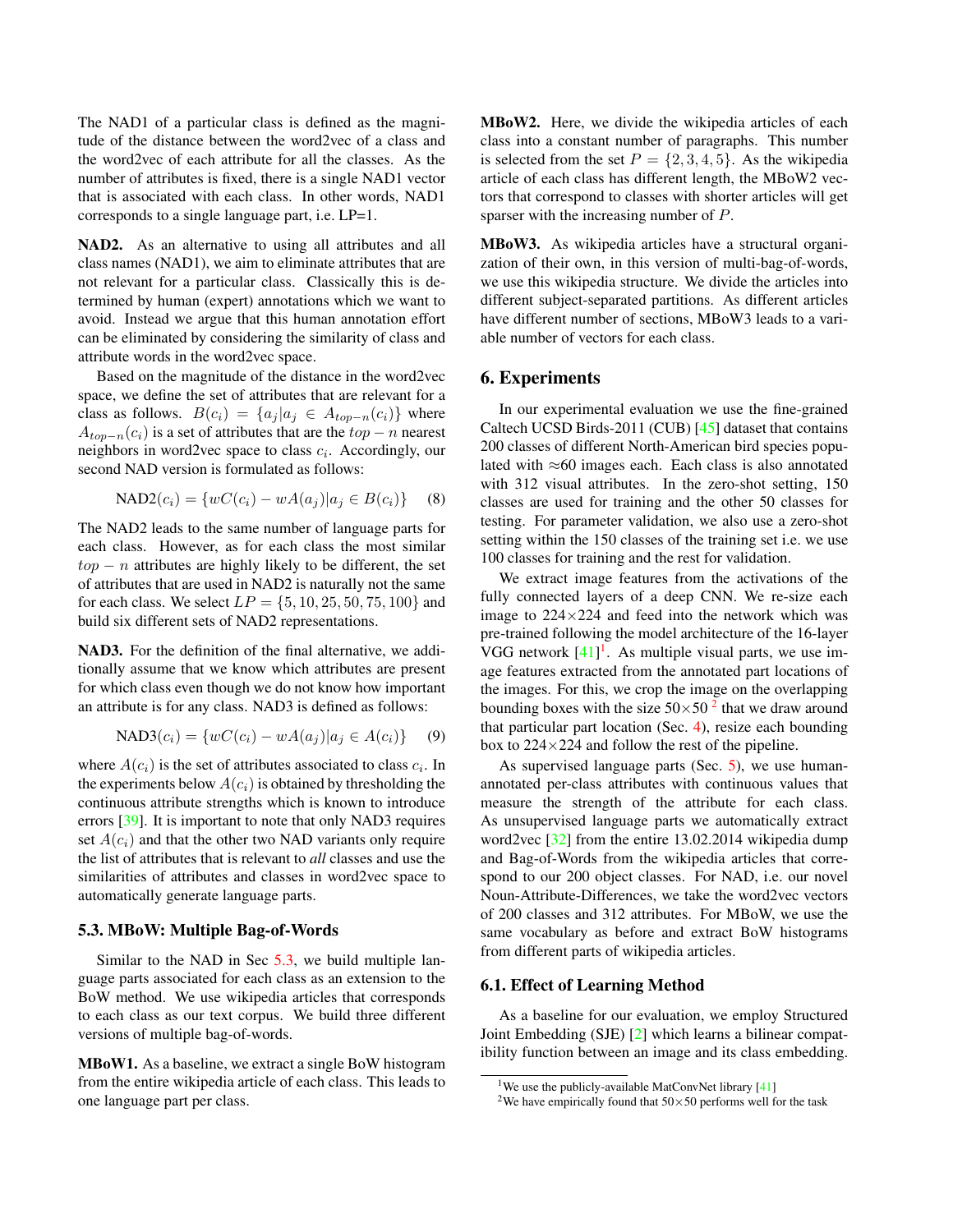<span id="page-4-4"></span>The NAD1 of a particular class is defined as the magnitude of the distance between the word2vec of a class and the word2vec of each attribute for all the classes. As the number of attributes is fixed, there is a single NAD1 vector that is associated with each class. In other words, NAD1 corresponds to a single language part, i.e. LP=1.

NAD2. As an alternative to using all attributes and all class names (NAD1), we aim to eliminate attributes that are not relevant for a particular class. Classically this is determined by human (expert) annotations which we want to avoid. Instead we argue that this human annotation effort can be eliminated by considering the similarity of class and attribute words in the word2vec space.

Based on the magnitude of the distance in the word2vec space, we define the set of attributes that are relevant for a class as follows.  $B(c_i) = \{a_j | a_j \in A_{top-n}(c_i)\}\$  where  $A_{top-n}(c_i)$  is a set of attributes that are the  $top-n$  nearest neighbors in word2vec space to class  $c_i$ . Accordingly, our second NAD version is formulated as follows:

NAD2
$$
(c_i)
$$
 = { $wC(c_i) - wA(a_j)|a_j \in B(c_i)$ } (8)

The NAD2 leads to the same number of language parts for each class. However, as for each class the most similar  $top - n$  attributes are highly likely to be different, the set of attributes that are used in NAD2 is naturally not the same for each class. We select  $LP = \{5, 10, 25, 50, 75, 100\}$  and build six different sets of NAD2 representations.

NAD3. For the definition of the final alternative, we additionally assume that we know which attributes are present for which class even though we do not know how important an attribute is for any class. NAD3 is defined as follows:

$$
\text{NAD3}(c_i) = \{ wC(c_i) - wA(a_j) | a_j \in A(c_i) \} \tag{9}
$$

where  $A(c_i)$  is the set of attributes associated to class  $c_i$ . In the experiments below  $A(c_i)$  is obtained by thresholding the continuous attribute strengths which is known to introduce errors [\[39\]](#page-8-7). It is important to note that only NAD3 requires set  $A(c_i)$  and that the other two NAD variants only require the list of attributes that is relevant to *all* classes and use the similarities of attributes and classes in word2vec space to automatically generate language parts.

#### <span id="page-4-1"></span>5.3. MBoW: Multiple Bag-of-Words

Similar to the NAD in Sec [5.3,](#page-4-1) we build multiple language parts associated for each class as an extension to the BoW method. We use wikipedia articles that corresponds to each class as our text corpus. We build three different versions of multiple bag-of-words.

MBoW1. As a baseline, we extract a single BoW histogram from the entire wikipedia article of each class. This leads to one language part per class.

MBoW2. Here, we divide the wikipedia articles of each class into a constant number of paragraphs. This number is selected from the set  $P = \{2, 3, 4, 5\}$ . As the wikipedia article of each class has different length, the MBoW2 vectors that correspond to classes with shorter articles will get sparser with the increasing number of P.

MBoW3. As wikipedia articles have a structural organization of their own, in this version of multi-bag-of-words, we use this wikipedia structure. We divide the articles into different subject-separated partitions. As different articles have different number of sections, MBoW3 leads to a variable number of vectors for each class.

## <span id="page-4-0"></span>6. Experiments

In our experimental evaluation we use the fine-grained Caltech UCSD Birds-2011 (CUB) [\[45\]](#page-9-0) dataset that contains 200 classes of different North-American bird species populated with  $\approx 60$  images each. Each class is also annotated with 312 visual attributes. In the zero-shot setting, 150 classes are used for training and the other 50 classes for testing. For parameter validation, we also use a zero-shot setting within the 150 classes of the training set i.e. we use 100 classes for training and the rest for validation.

We extract image features from the activations of the fully connected layers of a deep CNN. We re-size each image to  $224 \times 224$  and feed into the network which was pre-trained following the model architecture of the 16-layer VGG network  $[41]$ <sup>[1](#page-4-2)</sup>. As multiple visual parts, we use image features extracted from the annotated part locations of the images. For this, we crop the image on the overlapping bounding boxes with the size  $50\times50<sup>2</sup>$  $50\times50<sup>2</sup>$  $50\times50<sup>2</sup>$  that we draw around that particular part location (Sec. [4\)](#page-2-0), resize each bounding box to  $224 \times 224$  and follow the rest of the pipeline.

As supervised language parts (Sec. [5\)](#page-3-0), we use humanannotated per-class attributes with continuous values that measure the strength of the attribute for each class. As unsupervised language parts we automatically extract word2vec [\[32\]](#page-8-16) from the entire 13.02.2014 wikipedia dump and Bag-of-Words from the wikipedia articles that correspond to our 200 object classes. For NAD, i.e. our novel Noun-Attribute-Differences, we take the word2vec vectors of 200 classes and 312 attributes. For MBoW, we use the same vocabulary as before and extract BoW histograms from different parts of wikipedia articles.

#### 6.1. Effect of Learning Method

As a baseline for our evaluation, we employ Structured Joint Embedding (SJE) [\[2\]](#page-8-4) which learns a bilinear compatibility function between an image and its class embedding.

<span id="page-4-2"></span><sup>&</sup>lt;sup>1</sup>We use the publicly-available MatConvNet library [\[41\]](#page-8-40)

<span id="page-4-3"></span><sup>&</sup>lt;sup>2</sup>We have empirically found that  $50\times50$  performs well for the task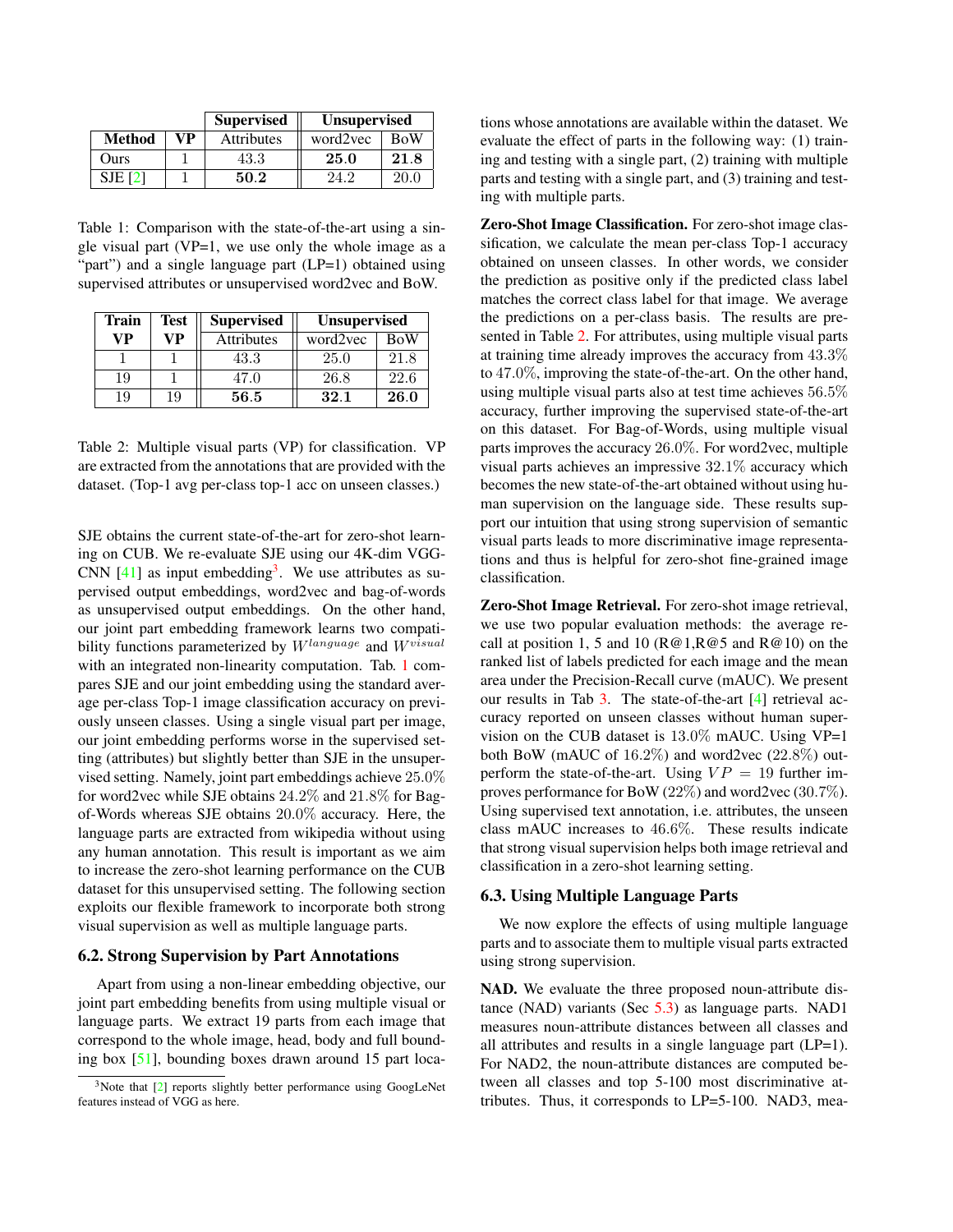<span id="page-5-3"></span><span id="page-5-1"></span>

|                |    | <b>Supervised</b> | <b>Unsupervised</b> |            |  |  |
|----------------|----|-------------------|---------------------|------------|--|--|
| <b>Method</b>  | VР | <b>Attributes</b> | word2yec            | <b>BoW</b> |  |  |
| Ours           |    | 43.3              | 25.0                | 21.8       |  |  |
| <b>SJE</b> [2] |    | 50.2              | 24 2                | 20.6       |  |  |

Table 1: Comparison with the state-of-the-art using a single visual part ( $VP=1$ , we use only the whole image as a "part") and a single language part (LP=1) obtained using supervised attributes or unsupervised word2vec and BoW.

<span id="page-5-2"></span>

| Train     | <b>Test</b> | <b>Supervised</b> | <b>Unsupervised</b> |            |  |  |
|-----------|-------------|-------------------|---------------------|------------|--|--|
| <b>VP</b> | VР          | <b>Attributes</b> | word2vec            | <b>BoW</b> |  |  |
|           |             | 43.3              | 25.0                | 21.8       |  |  |
| 19        |             | 47.0              | 26.8                | 22.6       |  |  |
| 19        | 19          | 56.5              | 32.1                | 26.0       |  |  |

Table 2: Multiple visual parts (VP) for classification. VP are extracted from the annotations that are provided with the dataset. (Top-1 avg per-class top-1 acc on unseen classes.)

SJE obtains the current state-of-the-art for zero-shot learning on CUB. We re-evaluate SJE using our 4K-dim VGG-CNN  $[41]$  as input embedding<sup>[3](#page-5-0)</sup>. We use attributes as supervised output embeddings, word2vec and bag-of-words as unsupervised output embeddings. On the other hand, our joint part embedding framework learns two compatibility functions parameterized by  $W^{language}$  and  $W^{visual}$ with an integrated non-linearity computation. Tab. [1](#page-5-1) compares SJE and our joint embedding using the standard average per-class Top-1 image classification accuracy on previously unseen classes. Using a single visual part per image, our joint embedding performs worse in the supervised setting (attributes) but slightly better than SJE in the unsupervised setting. Namely, joint part embeddings achieve 25.0% for word2vec while SJE obtains 24.2% and 21.8% for Bagof-Words whereas SJE obtains 20.0% accuracy. Here, the language parts are extracted from wikipedia without using any human annotation. This result is important as we aim to increase the zero-shot learning performance on the CUB dataset for this unsupervised setting. The following section exploits our flexible framework to incorporate both strong visual supervision as well as multiple language parts.

## 6.2. Strong Supervision by Part Annotations

Apart from using a non-linear embedding objective, our joint part embedding benefits from using multiple visual or language parts. We extract 19 parts from each image that correspond to the whole image, head, body and full bounding box [\[51\]](#page-9-2), bounding boxes drawn around 15 part locations whose annotations are available within the dataset. We evaluate the effect of parts in the following way: (1) training and testing with a single part, (2) training with multiple parts and testing with a single part, and (3) training and testing with multiple parts.

Zero-Shot Image Classification. For zero-shot image classification, we calculate the mean per-class Top-1 accuracy obtained on unseen classes. In other words, we consider the prediction as positive only if the predicted class label matches the correct class label for that image. We average the predictions on a per-class basis. The results are presented in Table [2.](#page-5-2) For attributes, using multiple visual parts at training time already improves the accuracy from 43.3% to 47.0%, improving the state-of-the-art. On the other hand, using multiple visual parts also at test time achieves 56.5% accuracy, further improving the supervised state-of-the-art on this dataset. For Bag-of-Words, using multiple visual parts improves the accuracy 26.0%. For word2vec, multiple visual parts achieves an impressive 32.1% accuracy which becomes the new state-of-the-art obtained without using human supervision on the language side. These results support our intuition that using strong supervision of semantic visual parts leads to more discriminative image representations and thus is helpful for zero-shot fine-grained image classification.

Zero-Shot Image Retrieval. For zero-shot image retrieval, we use two popular evaluation methods: the average recall at position 1, 5 and 10 ( $R@1, R@5$  and  $R@10$ ) on the ranked list of labels predicted for each image and the mean area under the Precision-Recall curve (mAUC). We present our results in Tab [3.](#page-6-0) The state-of-the-art [\[4\]](#page-8-5) retrieval accuracy reported on unseen classes without human supervision on the CUB dataset is 13.0% mAUC. Using VP=1 both BoW (mAUC of  $16.2\%$ ) and word2vec (22.8%) outperform the state-of-the-art. Using  $VP = 19$  further improves performance for BoW (22%) and word2vec (30.7%). Using supervised text annotation, i.e. attributes, the unseen class mAUC increases to 46.6%. These results indicate that strong visual supervision helps both image retrieval and classification in a zero-shot learning setting.

## 6.3. Using Multiple Language Parts

We now explore the effects of using multiple language parts and to associate them to multiple visual parts extracted using strong supervision.

NAD. We evaluate the three proposed noun-attribute distance (NAD) variants (Sec [5.3\)](#page-4-1) as language parts. NAD1 measures noun-attribute distances between all classes and all attributes and results in a single language part (LP=1). For NAD2, the noun-attribute distances are computed between all classes and top 5-100 most discriminative attributes. Thus, it corresponds to LP=5-100. NAD3, mea-

<span id="page-5-0"></span><sup>&</sup>lt;sup>3</sup>Note that [\[2\]](#page-8-4) reports slightly better performance using GoogLeNet features instead of VGG as here.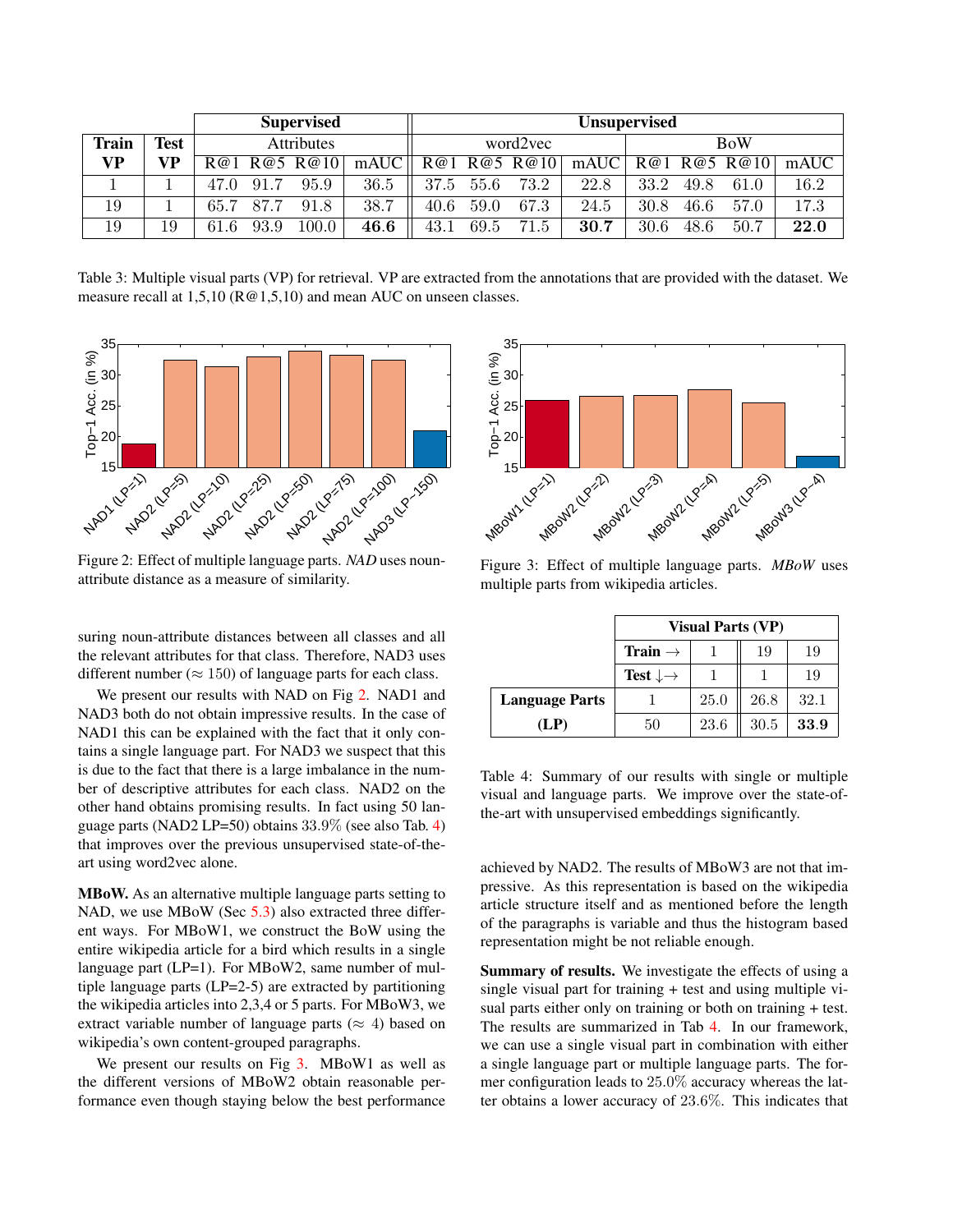<span id="page-6-0"></span>

|              | <b>Supervised</b> |                   |      | <b>Unsupervised</b> |          |      |      |              |      |      |      |              |      |
|--------------|-------------------|-------------------|------|---------------------|----------|------|------|--------------|------|------|------|--------------|------|
| <b>Train</b> | Test              | <b>Attributes</b> |      |                     | word2vec |      |      | <b>BoW</b>   |      |      |      |              |      |
| VP           | $\sqrt{P}$        | R@1               |      | R@5 R@10            | mAUC     |      |      | R@1 R@5 R@10 | mAUC |      |      | R@1 R@5 R@10 | mAUC |
|              |                   | 47.0              | 91.7 | 95.9                | 36.5     | 37.5 | 55.6 | 73.2         | 22.8 | 33.2 | 49.8 | 61.0         | 16.2 |
| 19           |                   | 65.7              | 87.7 | 91.8                | 38.7     | 40.6 | 59.0 | 67.3         | 24.5 | 30.8 | 46.6 | 57.0         | 17.3 |
| 19           | 19                | 61.6              | 93.9 | l00.0               | 46.6     | 43.1 | 69.5 | 71.5         | 30.7 | 30.6 | 48.6 | 50.7         | 22.0 |

Table 3: Multiple visual parts (VP) for retrieval. VP are extracted from the annotations that are provided with the dataset. We measure recall at 1,5,10 ( $R@1,5,10$ ) and mean AUC on unseen classes.

<span id="page-6-1"></span>

Figure 2: Effect of multiple language parts. *NAD* uses nounattribute distance as a measure of similarity.

suring noun-attribute distances between all classes and all the relevant attributes for that class. Therefore, NAD3 uses different number ( $\approx 150$ ) of language parts for each class.

We present our results with NAD on Fig [2.](#page-6-1) NAD1 and NAD3 both do not obtain impressive results. In the case of NAD1 this can be explained with the fact that it only contains a single language part. For NAD3 we suspect that this is due to the fact that there is a large imbalance in the number of descriptive attributes for each class. NAD2 on the other hand obtains promising results. In fact using 50 language parts (NAD2 LP=50) obtains 33.9% (see also Tab. [4\)](#page-6-2) that improves over the previous unsupervised state-of-theart using word2vec alone.

MBoW. As an alternative multiple language parts setting to NAD, we use MBoW (Sec [5.3\)](#page-4-1) also extracted three different ways. For MBoW1, we construct the BoW using the entire wikipedia article for a bird which results in a single language part (LP=1). For MBoW2, same number of multiple language parts (LP=2-5) are extracted by partitioning the wikipedia articles into 2,3,4 or 5 parts. For MBoW3, we extract variable number of language parts ( $\approx$  4) based on wikipedia's own content-grouped paragraphs.

We present our results on Fig [3.](#page-6-3) MBoW1 as well as the different versions of MBoW2 obtain reasonable per-

<span id="page-6-3"></span>

Figure 3: Effect of multiple language parts. *MBoW* uses multiple parts from wikipedia articles.

<span id="page-6-2"></span>

|                       | <b>Visual Parts (VP)</b>      |      |      |      |  |  |
|-----------------------|-------------------------------|------|------|------|--|--|
|                       | Train $\rightarrow$           |      | 19   | 19   |  |  |
|                       | Test $\downarrow \rightarrow$ |      |      | 19   |  |  |
| <b>Language Parts</b> |                               | 25.0 | 26.8 | 32.1 |  |  |
| (LP)                  | 50                            | 23.6 | 30.5 | 33.9 |  |  |

Table 4: Summary of our results with single or multiple visual and language parts. We improve over the state-ofthe-art with unsupervised embeddings significantly.

achieved by NAD2. The results of MBoW3 are not that impressive. As this representation is based on the wikipedia article structure itself and as mentioned before the length of the paragraphs is variable and thus the histogram based representation might be not reliable enough.

Summary of results. We investigate the effects of using a single visual part for training + test and using multiple visual parts either only on training or both on training + test. The results are summarized in Tab [4.](#page-6-2) In our framework, we can use a single visual part in combination with either a single language part or multiple language parts. The former configuration leads to 25.0% accuracy whereas the latter obtains a lower accuracy of 23.6%. This indicates that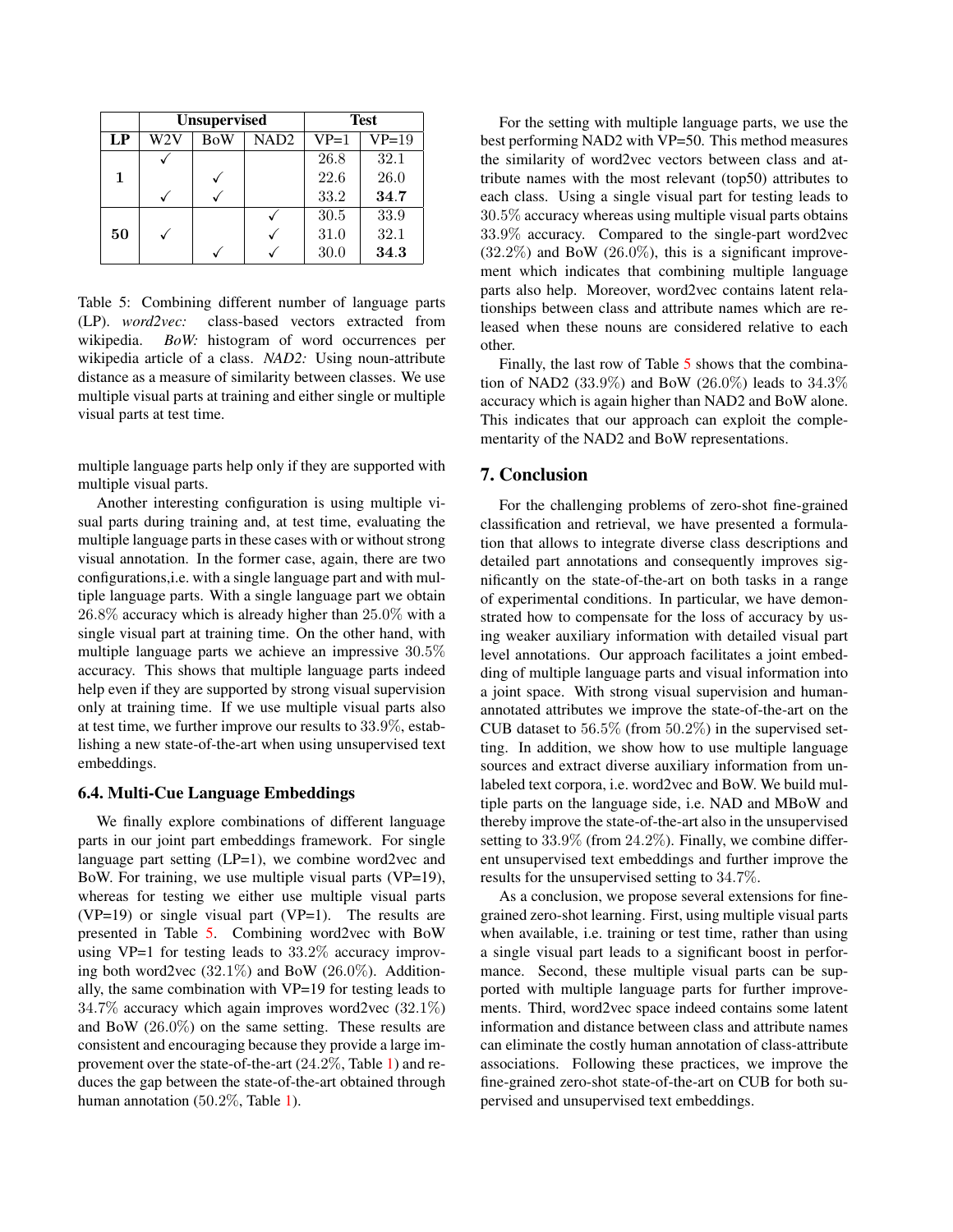<span id="page-7-1"></span>

|    |     | <b>Unsupervised</b> |                  | <b>Test</b> |         |  |  |
|----|-----|---------------------|------------------|-------------|---------|--|--|
| LP | W2V | <b>BoW</b>          | NAD <sub>2</sub> | $VP=1$      | $VP=19$ |  |  |
|    |     |                     |                  | 26.8        | 32.1    |  |  |
| 1  |     |                     |                  | 22.6        | 26.0    |  |  |
|    |     |                     |                  | 33.2        | 34.7    |  |  |
|    |     |                     |                  | 30.5        | 33.9    |  |  |
| 50 |     |                     |                  | 31.0        | 32.1    |  |  |
|    |     |                     |                  | 30.0        | 34.3    |  |  |

Table 5: Combining different number of language parts (LP). *word2vec:* class-based vectors extracted from wikipedia. *BoW:* histogram of word occurrences per wikipedia article of a class. *NAD2:* Using noun-attribute distance as a measure of similarity between classes. We use multiple visual parts at training and either single or multiple visual parts at test time.

multiple language parts help only if they are supported with multiple visual parts.

Another interesting configuration is using multiple visual parts during training and, at test time, evaluating the multiple language parts in these cases with or without strong visual annotation. In the former case, again, there are two configurations,i.e. with a single language part and with multiple language parts. With a single language part we obtain 26.8% accuracy which is already higher than 25.0% with a single visual part at training time. On the other hand, with multiple language parts we achieve an impressive 30.5% accuracy. This shows that multiple language parts indeed help even if they are supported by strong visual supervision only at training time. If we use multiple visual parts also at test time, we further improve our results to 33.9%, establishing a new state-of-the-art when using unsupervised text embeddings.

### 6.4. Multi-Cue Language Embeddings

We finally explore combinations of different language parts in our joint part embeddings framework. For single language part setting  $(LP=1)$ , we combine word2vec and BoW. For training, we use multiple visual parts (VP=19), whereas for testing we either use multiple visual parts  $(VP=19)$  or single visual part  $(VP=1)$ . The results are presented in Table [5.](#page-7-1) Combining word2vec with BoW using VP=1 for testing leads to 33.2% accuracy improving both word2vec  $(32.1\%)$  and BoW  $(26.0\%)$ . Additionally, the same combination with VP=19 for testing leads to 34.7% accuracy which again improves word2vec (32.1%) and BoW (26.0%) on the same setting. These results are consistent and encouraging because they provide a large improvement over the state-of-the-art (24.2%, Table [1\)](#page-5-1) and reduces the gap between the state-of-the-art obtained through human annotation (50.2%, Table [1\)](#page-5-1).

For the setting with multiple language parts, we use the best performing NAD2 with VP=50. This method measures the similarity of word2vec vectors between class and attribute names with the most relevant (top50) attributes to each class. Using a single visual part for testing leads to 30.5% accuracy whereas using multiple visual parts obtains 33.9% accuracy. Compared to the single-part word2vec  $(32.2\%)$  and BoW  $(26.0\%)$ , this is a significant improvement which indicates that combining multiple language parts also help. Moreover, word2vec contains latent relationships between class and attribute names which are released when these nouns are considered relative to each other.

Finally, the last row of Table [5](#page-7-1) shows that the combination of NAD2 (33.9%) and BoW (26.0%) leads to  $34.3\%$ accuracy which is again higher than NAD2 and BoW alone. This indicates that our approach can exploit the complementarity of the NAD2 and BoW representations.

## <span id="page-7-0"></span>7. Conclusion

For the challenging problems of zero-shot fine-grained classification and retrieval, we have presented a formulation that allows to integrate diverse class descriptions and detailed part annotations and consequently improves significantly on the state-of-the-art on both tasks in a range of experimental conditions. In particular, we have demonstrated how to compensate for the loss of accuracy by using weaker auxiliary information with detailed visual part level annotations. Our approach facilitates a joint embedding of multiple language parts and visual information into a joint space. With strong visual supervision and humanannotated attributes we improve the state-of-the-art on the CUB dataset to  $56.5\%$  (from  $50.2\%$ ) in the supervised setting. In addition, we show how to use multiple language sources and extract diverse auxiliary information from unlabeled text corpora, i.e. word2vec and BoW. We build multiple parts on the language side, i.e. NAD and MBoW and thereby improve the state-of-the-art also in the unsupervised setting to 33.9% (from 24.2%). Finally, we combine different unsupervised text embeddings and further improve the results for the unsupervised setting to 34.7%.

As a conclusion, we propose several extensions for finegrained zero-shot learning. First, using multiple visual parts when available, i.e. training or test time, rather than using a single visual part leads to a significant boost in performance. Second, these multiple visual parts can be supported with multiple language parts for further improvements. Third, word2vec space indeed contains some latent information and distance between class and attribute names can eliminate the costly human annotation of class-attribute associations. Following these practices, we improve the fine-grained zero-shot state-of-the-art on CUB for both supervised and unsupervised text embeddings.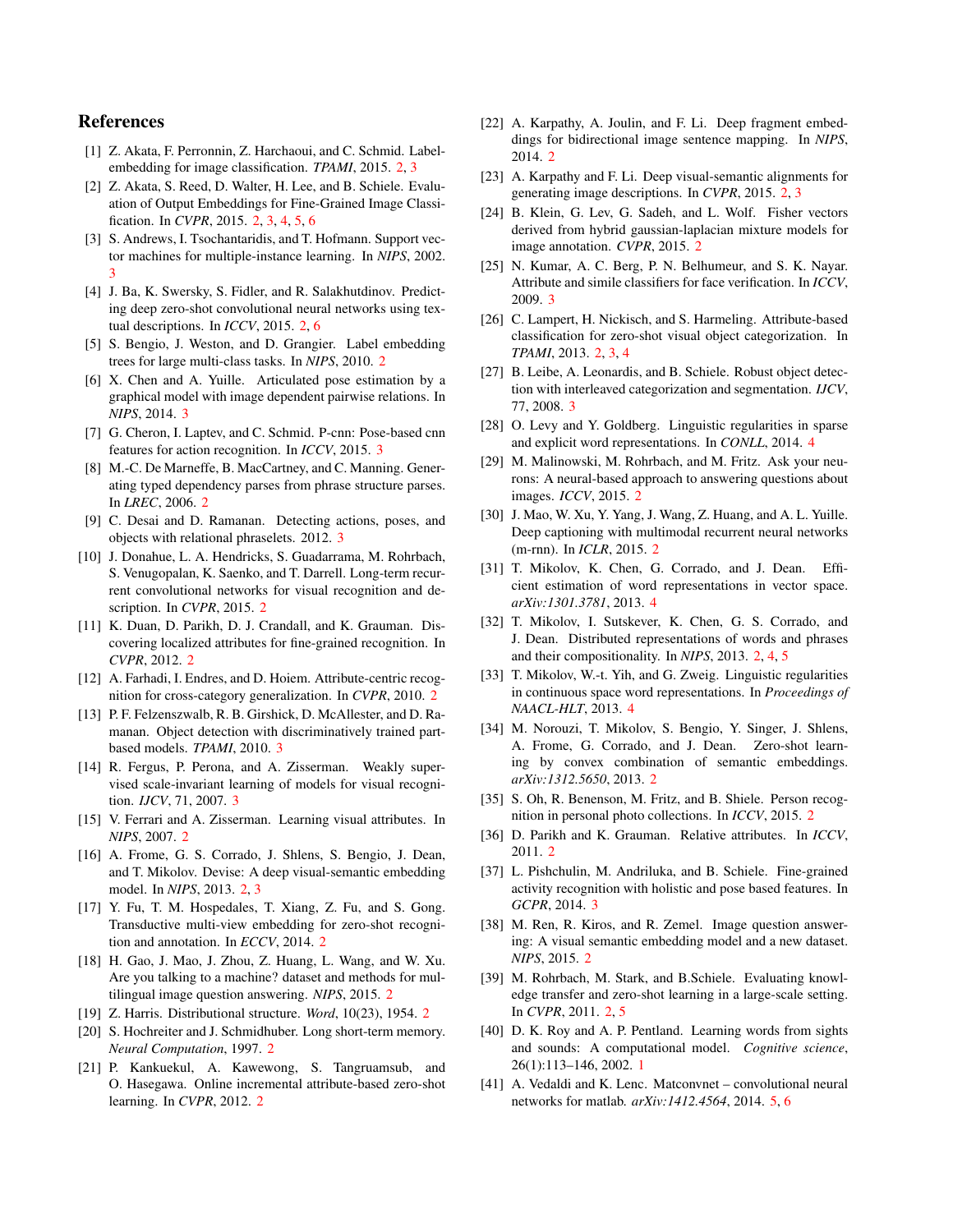## References

- <span id="page-8-3"></span>[1] Z. Akata, F. Perronnin, Z. Harchaoui, and C. Schmid. Labelembedding for image classification. *TPAMI*, 2015. [2,](#page-1-2) [3](#page-2-3)
- <span id="page-8-4"></span>[2] Z. Akata, S. Reed, D. Walter, H. Lee, and B. Schiele. Evaluation of Output Embeddings for Fine-Grained Image Classification. In *CVPR*, 2015. [2,](#page-1-2) [3,](#page-2-3) [4,](#page-3-2) [5,](#page-4-4) [6](#page-5-3)
- <span id="page-8-28"></span>[3] S. Andrews, I. Tsochantaridis, and T. Hofmann. Support vector machines for multiple-instance learning. In *NIPS*, 2002. [3](#page-2-3)
- <span id="page-8-5"></span>[4] J. Ba, K. Swersky, S. Fidler, and R. Salakhutdinov. Predicting deep zero-shot convolutional neural networks using textual descriptions. In *ICCV*, 2015. [2,](#page-1-2) [6](#page-5-3)
- <span id="page-8-18"></span>[5] S. Bengio, J. Weston, and D. Grangier. Label embedding trees for large multi-class tasks. In *NIPS*, 2010. [2](#page-1-2)
- <span id="page-8-32"></span>[6] X. Chen and A. Yuille. Articulated pose estimation by a graphical model with image dependent pairwise relations. In *NIPS*, 2014. [3](#page-2-3)
- <span id="page-8-35"></span>[7] G. Cheron, I. Laptev, and C. Schmid. P-cnn: Pose-based cnn features for action recognition. In *ICCV*, 2015. [3](#page-2-3)
- <span id="page-8-20"></span>[8] M.-C. De Marneffe, B. MacCartney, and C. Manning. Generating typed dependency parses from phrase structure parses. In *LREC*, 2006. [2](#page-1-2)
- <span id="page-8-33"></span>[9] C. Desai and D. Ramanan. Detecting actions, poses, and objects with relational phraselets. 2012. [3](#page-2-3)
- <span id="page-8-24"></span>[10] J. Donahue, L. A. Hendricks, S. Guadarrama, M. Rohrbach, S. Venugopalan, K. Saenko, and T. Darrell. Long-term recurrent convolutional networks for visual recognition and description. In *CVPR*, 2015. [2](#page-1-2)
- <span id="page-8-15"></span>[11] K. Duan, D. Parikh, D. J. Crandall, and K. Grauman. Discovering localized attributes for fine-grained recognition. In *CVPR*, 2012. [2](#page-1-2)
- <span id="page-8-13"></span>[12] A. Farhadi, I. Endres, and D. Hoiem. Attribute-centric recognition for cross-category generalization. In *CVPR*, 2010. [2](#page-1-2)
- <span id="page-8-31"></span>[13] P. F. Felzenszwalb, R. B. Girshick, D. McAllester, and D. Ramanan. Object detection with discriminatively trained partbased models. *TPAMI*, 2010. [3](#page-2-3)
- <span id="page-8-29"></span>[14] R. Fergus, P. Perona, and A. Zisserman. Weakly supervised scale-invariant learning of models for visual recognition. *IJCV*, 71, 2007. [3](#page-2-3)
- <span id="page-8-12"></span>[15] V. Ferrari and A. Zisserman. Learning visual attributes. In *NIPS*, 2007. [2](#page-1-2)
- <span id="page-8-2"></span>[16] A. Frome, G. S. Corrado, J. Shlens, S. Bengio, J. Dean, and T. Mikolov. Devise: A deep visual-semantic embedding model. In *NIPS*, 2013. [2,](#page-1-2) [3](#page-2-3)
- <span id="page-8-11"></span>[17] Y. Fu, T. M. Hospedales, T. Xiang, Z. Fu, and S. Gong. Transductive multi-view embedding for zero-shot recognition and annotation. In *ECCV*, 2014. [2](#page-1-2)
- <span id="page-8-26"></span>[18] H. Gao, J. Mao, J. Zhou, Z. Huang, L. Wang, and W. Xu. Are you talking to a machine? dataset and methods for multilingual image question answering. *NIPS*, 2015. [2](#page-1-2)
- <span id="page-8-17"></span>[19] Z. Harris. Distributional structure. *Word*, 10(23), 1954. [2](#page-1-2)
- <span id="page-8-19"></span>[20] S. Hochreiter and J. Schmidhuber. Long short-term memory. *Neural Computation*, 1997. [2](#page-1-2)
- <span id="page-8-8"></span>[21] P. Kankuekul, A. Kawewong, S. Tangruamsub, and O. Hasegawa. Online incremental attribute-based zero-shot learning. In *CVPR*, 2012. [2](#page-1-2)
- <span id="page-8-22"></span>[22] A. Karpathy, A. Joulin, and F. Li. Deep fragment embeddings for bidirectional image sentence mapping. In *NIPS*, 2014. [2](#page-1-2)
- <span id="page-8-6"></span>[23] A. Karpathy and F. Li. Deep visual-semantic alignments for generating image descriptions. In *CVPR*, 2015. [2,](#page-1-2) [3](#page-2-3)
- <span id="page-8-23"></span>[24] B. Klein, G. Lev, G. Sadeh, and L. Wolf. Fisher vectors derived from hybrid gaussian-laplacian mixture models for image annotation. *CVPR*, 2015. [2](#page-1-2)
- <span id="page-8-36"></span>[25] N. Kumar, A. C. Berg, P. N. Belhumeur, and S. K. Nayar. Attribute and simile classifiers for face verification. In *ICCV*, 2009. [3](#page-2-3)
- <span id="page-8-9"></span>[26] C. Lampert, H. Nickisch, and S. Harmeling. Attribute-based classification for zero-shot visual object categorization. In *TPAMI*, 2013. [2,](#page-1-2) [3,](#page-2-3) [4](#page-3-2)
- <span id="page-8-30"></span>[27] B. Leibe, A. Leonardis, and B. Schiele. Robust object detection with interleaved categorization and segmentation. *IJCV*, 77, 2008. [3](#page-2-3)
- <span id="page-8-38"></span>[28] O. Levy and Y. Goldberg. Linguistic regularities in sparse and explicit word representations. In *CONLL*, 2014. [4](#page-3-2)
- <span id="page-8-25"></span>[29] M. Malinowski, M. Rohrbach, and M. Fritz. Ask your neurons: A neural-based approach to answering questions about images. *ICCV*, 2015. [2](#page-1-2)
- <span id="page-8-21"></span>[30] J. Mao, W. Xu, Y. Yang, J. Wang, Z. Huang, and A. L. Yuille. Deep captioning with multimodal recurrent neural networks (m-rnn). In *ICLR*, 2015. [2](#page-1-2)
- <span id="page-8-37"></span>[31] T. Mikolov, K. Chen, G. Corrado, and J. Dean. Efficient estimation of word representations in vector space. *arXiv:1301.3781*, 2013. [4](#page-3-2)
- <span id="page-8-16"></span>[32] T. Mikolov, I. Sutskever, K. Chen, G. S. Corrado, and J. Dean. Distributed representations of words and phrases and their compositionality. In *NIPS*, 2013. [2,](#page-1-2) [4,](#page-3-2) [5](#page-4-4)
- <span id="page-8-39"></span>[33] T. Mikolov, W.-t. Yih, and G. Zweig. Linguistic regularities in continuous space word representations. In *Proceedings of NAACL-HLT*, 2013. [4](#page-3-2)
- <span id="page-8-10"></span>[34] M. Norouzi, T. Mikolov, S. Bengio, Y. Singer, J. Shlens, A. Frome, G. Corrado, and J. Dean. Zero-shot learning by convex combination of semantic embeddings. *arXiv:1312.5650*, 2013. [2](#page-1-2)
- <span id="page-8-1"></span>[35] S. Oh, R. Benenson, M. Fritz, and B. Shiele. Person recognition in personal photo collections. In *ICCV*, 2015. [2](#page-1-2)
- <span id="page-8-14"></span>[36] D. Parikh and K. Grauman. Relative attributes. In *ICCV*, 2011. [2](#page-1-2)
- <span id="page-8-34"></span>[37] L. Pishchulin, M. Andriluka, and B. Schiele. Fine-grained activity recognition with holistic and pose based features. In *GCPR*, 2014. [3](#page-2-3)
- <span id="page-8-27"></span>[38] M. Ren, R. Kiros, and R. Zemel. Image question answering: A visual semantic embedding model and a new dataset. *NIPS*, 2015. [2](#page-1-2)
- <span id="page-8-7"></span>[39] M. Rohrbach, M. Stark, and B. Schiele. Evaluating knowledge transfer and zero-shot learning in a large-scale setting. In *CVPR*, 2011. [2,](#page-1-2) [5](#page-4-4)
- <span id="page-8-0"></span>[40] D. K. Roy and A. P. Pentland. Learning words from sights and sounds: A computational model. *Cognitive science*, 26(1):113–146, 2002. [1](#page-0-1)
- <span id="page-8-40"></span>[41] A. Vedaldi and K. Lenc. Matconvnet – convolutional neural networks for matlab. *arXiv:1412.4564*, 2014. [5,](#page-4-4) [6](#page-5-3)